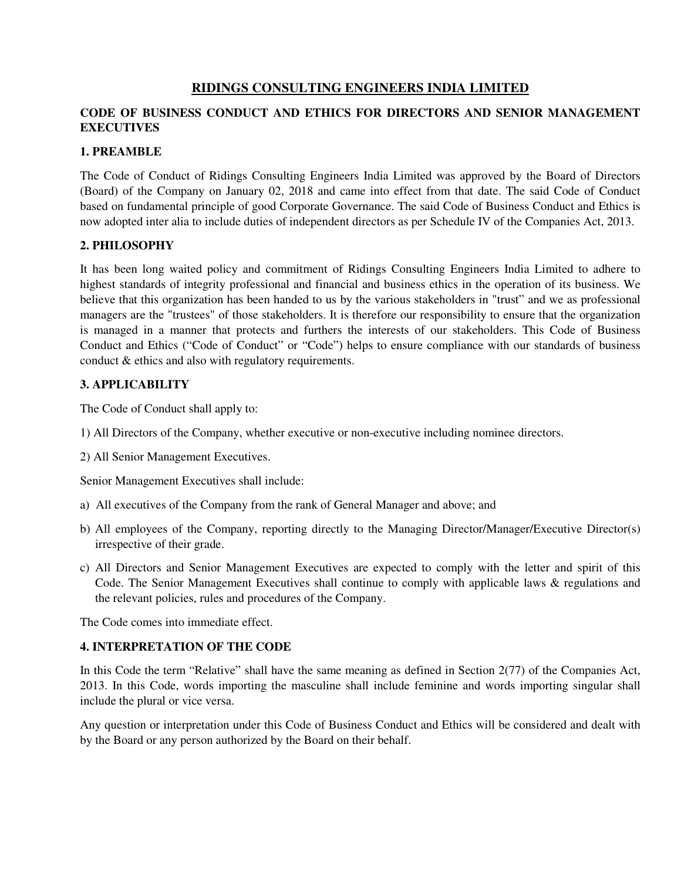# **RIDINGS CONSULTING ENGINEERS INDIA LIMITED**

# **CODE OF BUSINESS CONDUCT AND ETHICS FOR DIRECTORS AND SENIOR MANAGEMENT EXECUTIVES**

### **1. PREAMBLE**

The Code of Conduct of Ridings Consulting Engineers India Limited was approved by the Board of Directors (Board) of the Company on January 02, 2018 and came into effect from that date. The said Code of Conduct based on fundamental principle of good Corporate Governance. The said Code of Business Conduct and Ethics is now adopted inter alia to include duties of independent directors as per Schedule IV of the Companies Act, 2013.

# **2. PHILOSOPHY**

It has been long waited policy and commitment of Ridings Consulting Engineers India Limited to adhere to highest standards of integrity professional and financial and business ethics in the operation of its business. We believe that this organization has been handed to us by the various stakeholders in "trust" and we as professional managers are the "trustees" of those stakeholders. It is therefore our responsibility to ensure that the organization is managed in a manner that protects and furthers the interests of our stakeholders. This Code of Business Conduct and Ethics ("Code of Conduct" or "Code") helps to ensure compliance with our standards of business conduct & ethics and also with regulatory requirements.

# **3. APPLICABILITY**

The Code of Conduct shall apply to:

- 1) All Directors of the Company, whether executive or non-executive including nominee directors.
- 2) All Senior Management Executives.

Senior Management Executives shall include:

- a) All executives of the Company from the rank of General Manager and above; and
- b) All employees of the Company, reporting directly to the Managing Director/Manager/Executive Director(s) irrespective of their grade.
- c) All Directors and Senior Management Executives are expected to comply with the letter and spirit of this Code. The Senior Management Executives shall continue to comply with applicable laws & regulations and the relevant policies, rules and procedures of the Company.

The Code comes into immediate effect.

#### **4. INTERPRETATION OF THE CODE**

In this Code the term "Relative" shall have the same meaning as defined in Section 2(77) of the Companies Act, 2013. In this Code, words importing the masculine shall include feminine and words importing singular shall include the plural or vice versa.

Any question or interpretation under this Code of Business Conduct and Ethics will be considered and dealt with by the Board or any person authorized by the Board on their behalf.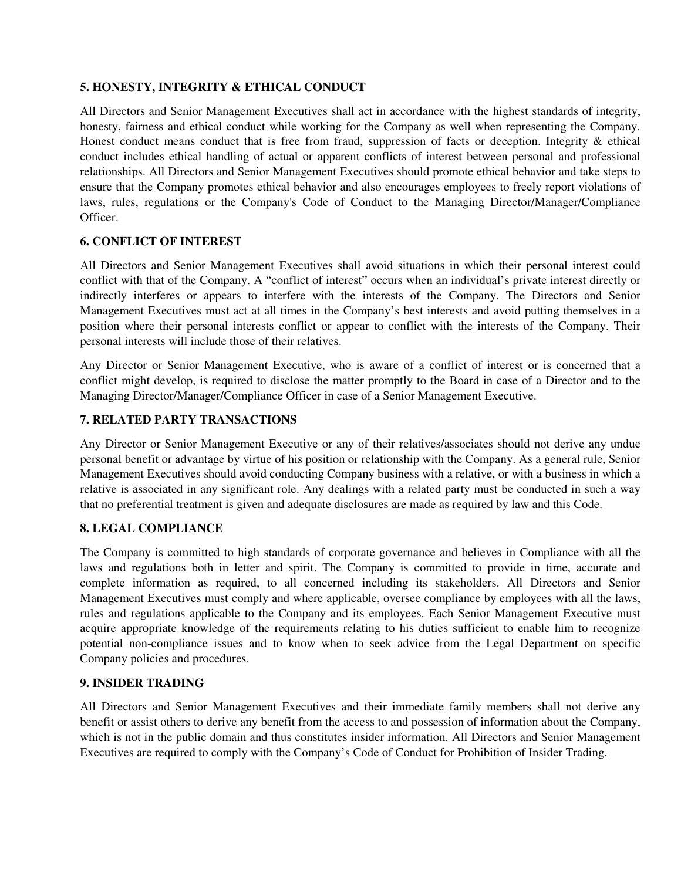# **5. HONESTY, INTEGRITY & ETHICAL CONDUCT**

All Directors and Senior Management Executives shall act in accordance with the highest standards of integrity, honesty, fairness and ethical conduct while working for the Company as well when representing the Company. Honest conduct means conduct that is free from fraud, suppression of facts or deception. Integrity & ethical conduct includes ethical handling of actual or apparent conflicts of interest between personal and professional relationships. All Directors and Senior Management Executives should promote ethical behavior and take steps to ensure that the Company promotes ethical behavior and also encourages employees to freely report violations of laws, rules, regulations or the Company's Code of Conduct to the Managing Director/Manager/Compliance Officer.

# **6. CONFLICT OF INTEREST**

All Directors and Senior Management Executives shall avoid situations in which their personal interest could conflict with that of the Company. A "conflict of interest" occurs when an individual's private interest directly or indirectly interferes or appears to interfere with the interests of the Company. The Directors and Senior Management Executives must act at all times in the Company's best interests and avoid putting themselves in a position where their personal interests conflict or appear to conflict with the interests of the Company. Their personal interests will include those of their relatives.

Any Director or Senior Management Executive, who is aware of a conflict of interest or is concerned that a conflict might develop, is required to disclose the matter promptly to the Board in case of a Director and to the Managing Director/Manager/Compliance Officer in case of a Senior Management Executive.

# **7. RELATED PARTY TRANSACTIONS**

Any Director or Senior Management Executive or any of their relatives/associates should not derive any undue personal benefit or advantage by virtue of his position or relationship with the Company. As a general rule, Senior Management Executives should avoid conducting Company business with a relative, or with a business in which a relative is associated in any significant role. Any dealings with a related party must be conducted in such a way that no preferential treatment is given and adequate disclosures are made as required by law and this Code.

#### **8. LEGAL COMPLIANCE**

The Company is committed to high standards of corporate governance and believes in Compliance with all the laws and regulations both in letter and spirit. The Company is committed to provide in time, accurate and complete information as required, to all concerned including its stakeholders. All Directors and Senior Management Executives must comply and where applicable, oversee compliance by employees with all the laws, rules and regulations applicable to the Company and its employees. Each Senior Management Executive must acquire appropriate knowledge of the requirements relating to his duties sufficient to enable him to recognize potential non-compliance issues and to know when to seek advice from the Legal Department on specific Company policies and procedures.

#### **9. INSIDER TRADING**

All Directors and Senior Management Executives and their immediate family members shall not derive any benefit or assist others to derive any benefit from the access to and possession of information about the Company, which is not in the public domain and thus constitutes insider information. All Directors and Senior Management Executives are required to comply with the Company's Code of Conduct for Prohibition of Insider Trading.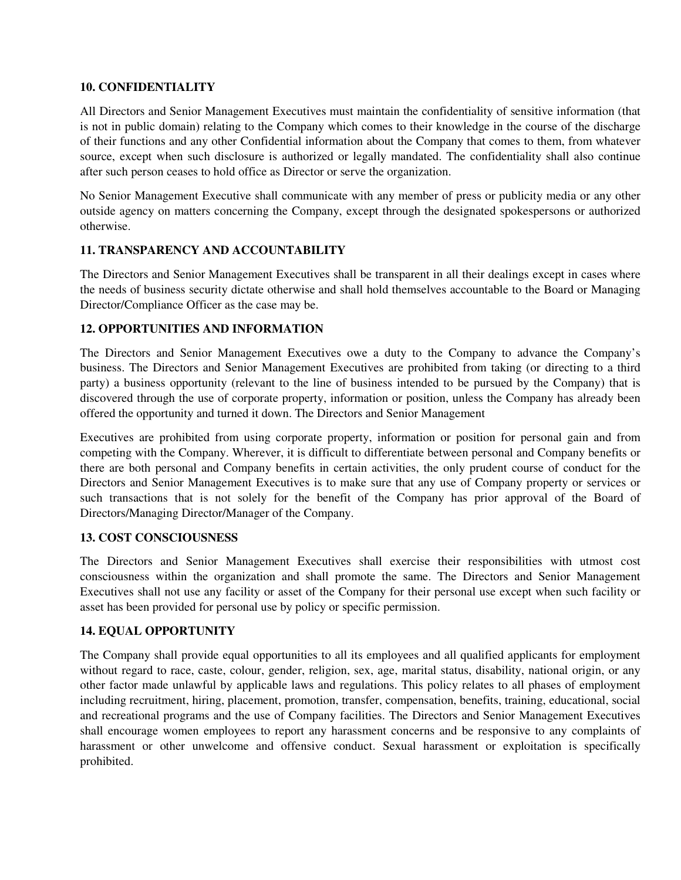#### **10. CONFIDENTIALITY**

All Directors and Senior Management Executives must maintain the confidentiality of sensitive information (that is not in public domain) relating to the Company which comes to their knowledge in the course of the discharge of their functions and any other Confidential information about the Company that comes to them, from whatever source, except when such disclosure is authorized or legally mandated. The confidentiality shall also continue after such person ceases to hold office as Director or serve the organization.

No Senior Management Executive shall communicate with any member of press or publicity media or any other outside agency on matters concerning the Company, except through the designated spokespersons or authorized otherwise.

# **11. TRANSPARENCY AND ACCOUNTABILITY**

The Directors and Senior Management Executives shall be transparent in all their dealings except in cases where the needs of business security dictate otherwise and shall hold themselves accountable to the Board or Managing Director/Compliance Officer as the case may be.

# **12. OPPORTUNITIES AND INFORMATION**

The Directors and Senior Management Executives owe a duty to the Company to advance the Company's business. The Directors and Senior Management Executives are prohibited from taking (or directing to a third party) a business opportunity (relevant to the line of business intended to be pursued by the Company) that is discovered through the use of corporate property, information or position, unless the Company has already been offered the opportunity and turned it down. The Directors and Senior Management

Executives are prohibited from using corporate property, information or position for personal gain and from competing with the Company. Wherever, it is difficult to differentiate between personal and Company benefits or there are both personal and Company benefits in certain activities, the only prudent course of conduct for the Directors and Senior Management Executives is to make sure that any use of Company property or services or such transactions that is not solely for the benefit of the Company has prior approval of the Board of Directors/Managing Director/Manager of the Company.

#### **13. COST CONSCIOUSNESS**

The Directors and Senior Management Executives shall exercise their responsibilities with utmost cost consciousness within the organization and shall promote the same. The Directors and Senior Management Executives shall not use any facility or asset of the Company for their personal use except when such facility or asset has been provided for personal use by policy or specific permission.

#### **14. EQUAL OPPORTUNITY**

The Company shall provide equal opportunities to all its employees and all qualified applicants for employment without regard to race, caste, colour, gender, religion, sex, age, marital status, disability, national origin, or any other factor made unlawful by applicable laws and regulations. This policy relates to all phases of employment including recruitment, hiring, placement, promotion, transfer, compensation, benefits, training, educational, social and recreational programs and the use of Company facilities. The Directors and Senior Management Executives shall encourage women employees to report any harassment concerns and be responsive to any complaints of harassment or other unwelcome and offensive conduct. Sexual harassment or exploitation is specifically prohibited.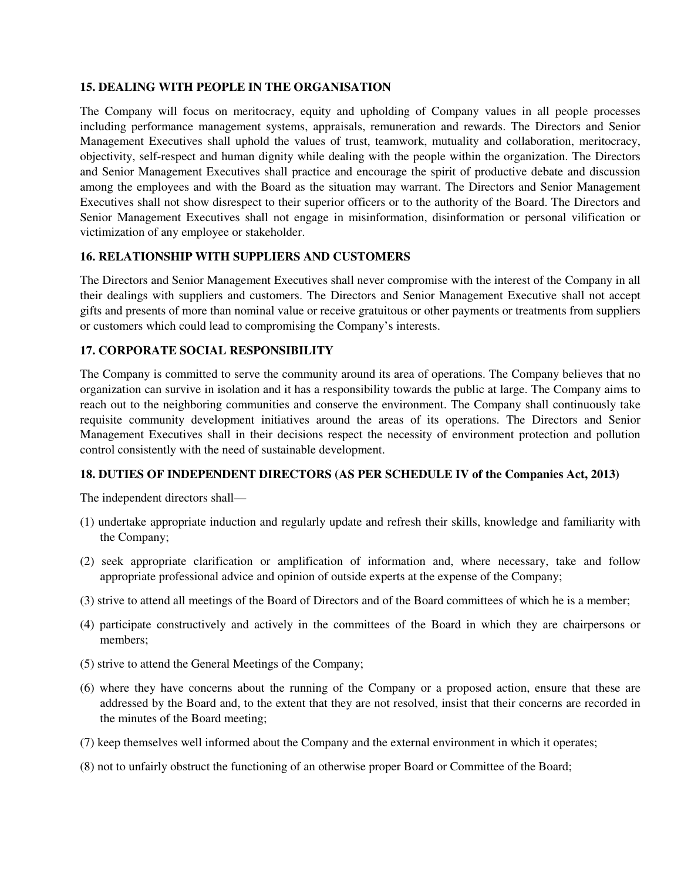#### **15. DEALING WITH PEOPLE IN THE ORGANISATION**

The Company will focus on meritocracy, equity and upholding of Company values in all people processes including performance management systems, appraisals, remuneration and rewards. The Directors and Senior Management Executives shall uphold the values of trust, teamwork, mutuality and collaboration, meritocracy, objectivity, self-respect and human dignity while dealing with the people within the organization. The Directors and Senior Management Executives shall practice and encourage the spirit of productive debate and discussion among the employees and with the Board as the situation may warrant. The Directors and Senior Management Executives shall not show disrespect to their superior officers or to the authority of the Board. The Directors and Senior Management Executives shall not engage in misinformation, disinformation or personal vilification or victimization of any employee or stakeholder.

# **16. RELATIONSHIP WITH SUPPLIERS AND CUSTOMERS**

The Directors and Senior Management Executives shall never compromise with the interest of the Company in all their dealings with suppliers and customers. The Directors and Senior Management Executive shall not accept gifts and presents of more than nominal value or receive gratuitous or other payments or treatments from suppliers or customers which could lead to compromising the Company's interests.

#### **17. CORPORATE SOCIAL RESPONSIBILITY**

The Company is committed to serve the community around its area of operations. The Company believes that no organization can survive in isolation and it has a responsibility towards the public at large. The Company aims to reach out to the neighboring communities and conserve the environment. The Company shall continuously take requisite community development initiatives around the areas of its operations. The Directors and Senior Management Executives shall in their decisions respect the necessity of environment protection and pollution control consistently with the need of sustainable development.

#### **18. DUTIES OF INDEPENDENT DIRECTORS (AS PER SCHEDULE IV of the Companies Act, 2013)**

The independent directors shall—

- (1) undertake appropriate induction and regularly update and refresh their skills, knowledge and familiarity with the Company;
- (2) seek appropriate clarification or amplification of information and, where necessary, take and follow appropriate professional advice and opinion of outside experts at the expense of the Company;
- (3) strive to attend all meetings of the Board of Directors and of the Board committees of which he is a member;
- (4) participate constructively and actively in the committees of the Board in which they are chairpersons or members;
- (5) strive to attend the General Meetings of the Company;
- (6) where they have concerns about the running of the Company or a proposed action, ensure that these are addressed by the Board and, to the extent that they are not resolved, insist that their concerns are recorded in the minutes of the Board meeting;
- (7) keep themselves well informed about the Company and the external environment in which it operates;
- (8) not to unfairly obstruct the functioning of an otherwise proper Board or Committee of the Board;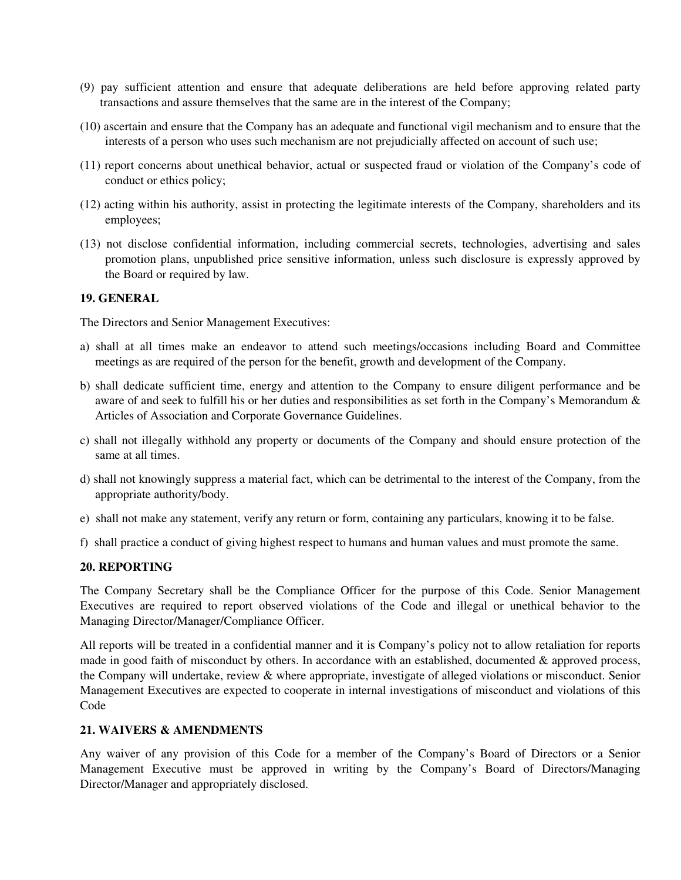- (9) pay sufficient attention and ensure that adequate deliberations are held before approving related party transactions and assure themselves that the same are in the interest of the Company;
- (10) ascertain and ensure that the Company has an adequate and functional vigil mechanism and to ensure that the interests of a person who uses such mechanism are not prejudicially affected on account of such use;
- (11) report concerns about unethical behavior, actual or suspected fraud or violation of the Company's code of conduct or ethics policy;
- (12) acting within his authority, assist in protecting the legitimate interests of the Company, shareholders and its employees;
- (13) not disclose confidential information, including commercial secrets, technologies, advertising and sales promotion plans, unpublished price sensitive information, unless such disclosure is expressly approved by the Board or required by law.

#### **19. GENERAL**

The Directors and Senior Management Executives:

- a) shall at all times make an endeavor to attend such meetings/occasions including Board and Committee meetings as are required of the person for the benefit, growth and development of the Company.
- b) shall dedicate sufficient time, energy and attention to the Company to ensure diligent performance and be aware of and seek to fulfill his or her duties and responsibilities as set forth in the Company's Memorandum  $\&$ Articles of Association and Corporate Governance Guidelines.
- c) shall not illegally withhold any property or documents of the Company and should ensure protection of the same at all times.
- d) shall not knowingly suppress a material fact, which can be detrimental to the interest of the Company, from the appropriate authority/body.
- e) shall not make any statement, verify any return or form, containing any particulars, knowing it to be false.
- f) shall practice a conduct of giving highest respect to humans and human values and must promote the same.

#### **20. REPORTING**

The Company Secretary shall be the Compliance Officer for the purpose of this Code. Senior Management Executives are required to report observed violations of the Code and illegal or unethical behavior to the Managing Director/Manager/Compliance Officer.

All reports will be treated in a confidential manner and it is Company's policy not to allow retaliation for reports made in good faith of misconduct by others. In accordance with an established, documented & approved process, the Company will undertake, review & where appropriate, investigate of alleged violations or misconduct. Senior Management Executives are expected to cooperate in internal investigations of misconduct and violations of this Code

#### **21. WAIVERS & AMENDMENTS**

Any waiver of any provision of this Code for a member of the Company's Board of Directors or a Senior Management Executive must be approved in writing by the Company's Board of Directors/Managing Director/Manager and appropriately disclosed.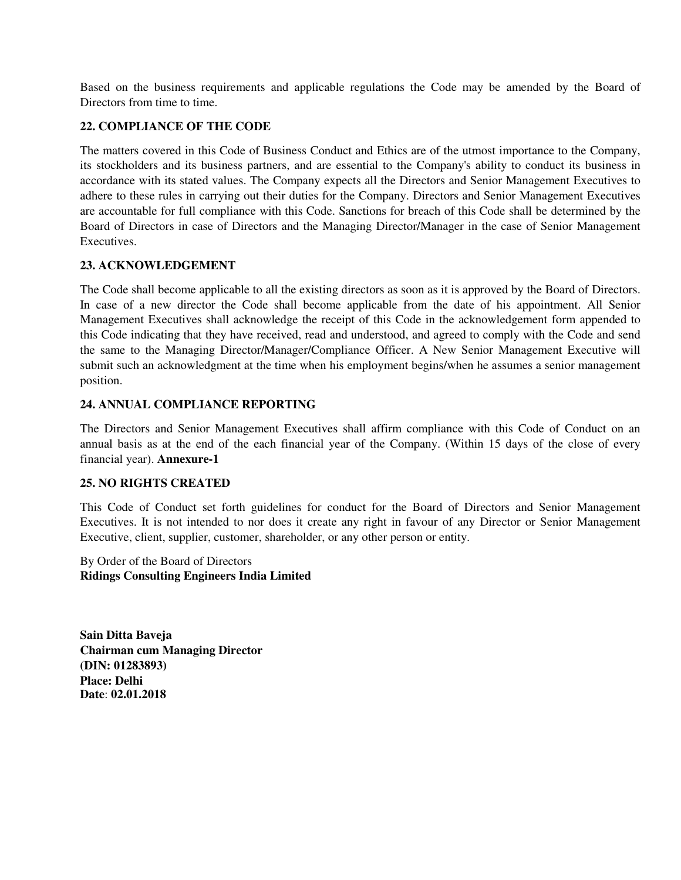Based on the business requirements and applicable regulations the Code may be amended by the Board of Directors from time to time.

# **22. COMPLIANCE OF THE CODE**

The matters covered in this Code of Business Conduct and Ethics are of the utmost importance to the Company, its stockholders and its business partners, and are essential to the Company's ability to conduct its business in accordance with its stated values. The Company expects all the Directors and Senior Management Executives to adhere to these rules in carrying out their duties for the Company. Directors and Senior Management Executives are accountable for full compliance with this Code. Sanctions for breach of this Code shall be determined by the Board of Directors in case of Directors and the Managing Director/Manager in the case of Senior Management **Executives** 

# **23. ACKNOWLEDGEMENT**

The Code shall become applicable to all the existing directors as soon as it is approved by the Board of Directors. In case of a new director the Code shall become applicable from the date of his appointment. All Senior Management Executives shall acknowledge the receipt of this Code in the acknowledgement form appended to this Code indicating that they have received, read and understood, and agreed to comply with the Code and send the same to the Managing Director/Manager/Compliance Officer. A New Senior Management Executive will submit such an acknowledgment at the time when his employment begins/when he assumes a senior management position.

# **24. ANNUAL COMPLIANCE REPORTING**

The Directors and Senior Management Executives shall affirm compliance with this Code of Conduct on an annual basis as at the end of the each financial year of the Company. (Within 15 days of the close of every financial year). **Annexure-1** 

# **25. NO RIGHTS CREATED**

This Code of Conduct set forth guidelines for conduct for the Board of Directors and Senior Management Executives. It is not intended to nor does it create any right in favour of any Director or Senior Management Executive, client, supplier, customer, shareholder, or any other person or entity.

By Order of the Board of Directors **Ridings Consulting Engineers India Limited** 

**Sain Ditta Baveja Chairman cum Managing Director (DIN: 01283893) Place: Delhi Date**: **02.01.2018**